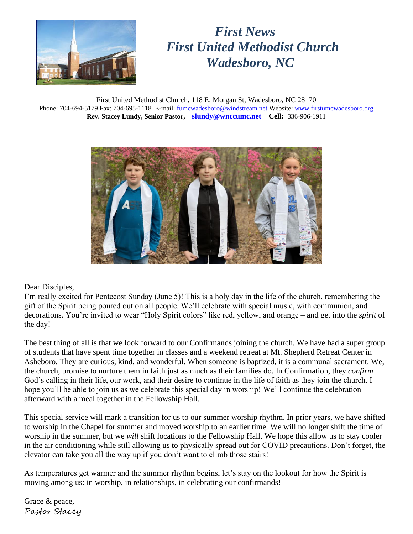

# *First News First United Methodist Church Wadesboro, NC*

First United Methodist Church, 118 E. Morgan St, Wadesboro, NC 28170 Phone: 704-694-5179 Fax: 704-695-1118 E-mail: [fumcwadesboro@windstream.net](mailto:fumcwadesboro@windstream.net) Website: [www.firstumcwadesboro.org](http://www.firstumcwadesboro.org/) **Rev. Stacey Lundy, Senior Pastor, [slundy@wnccumc.net](mailto:slundy@wnccumc.net) Cell:** 336-906-1911



Dear Disciples,

I'm really excited for Pentecost Sunday (June 5)! This is a holy day in the life of the church, remembering the gift of the Spirit being poured out on all people. We'll celebrate with special music, with communion, and decorations. You're invited to wear "Holy Spirit colors" like red, yellow, and orange – and get into the *spirit* of the day!

The best thing of all is that we look forward to our Confirmands joining the church. We have had a super group of students that have spent time together in classes and a weekend retreat at Mt. Shepherd Retreat Center in Asheboro. They are curious, kind, and wonderful. When someone is baptized, it is a communal sacrament. We, the church, promise to nurture them in faith just as much as their families do. In Confirmation, they *confirm* God's calling in their life, our work, and their desire to continue in the life of faith as they join the church. I hope you'll be able to join us as we celebrate this special day in worship! We'll continue the celebration afterward with a meal together in the Fellowship Hall.

This special service will mark a transition for us to our summer worship rhythm. In prior years, we have shifted to worship in the Chapel for summer and moved worship to an earlier time. We will no longer shift the time of worship in the summer, but we *will* shift locations to the Fellowship Hall. We hope this allow us to stay cooler in the air conditioning while still allowing us to physically spread out for COVID precautions. Don't forget, the elevator can take you all the way up if you don't want to climb those stairs!

As temperatures get warmer and the summer rhythm begins, let's stay on the lookout for how the Spirit is moving among us: in worship, in relationships, in celebrating our confirmands!

Grace & peace, Pastor Stacey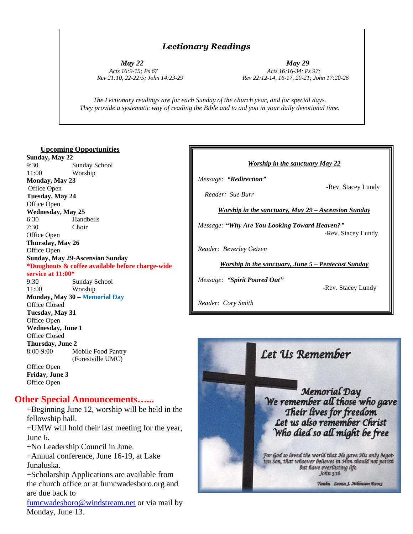#### *Lectionary Readings*

 *May 22 May 29 Acts 16:9-15; Ps 67 Acts 16:16-34; Ps 97; Rev 21:10, 22-22:5; John 14:23-29 Rev 22:12-14, 16-17, 20-21; John 17:20-26*

 *The Lectionary readings are for each Sunday of the church year, and for special days. They provide a systematic way of reading the Bible and to aid you in your daily devotional time.*

#### **Upcoming Opportunities**

 **Sunday, May 22** 9:30 Sunday School 11:00 Worship **Monday, May 23** Office Open **Tuesday, May 24** Office Open **Wednesday, May 25** 6:30 Handbells7:30 Choir Office Open **Thursday, May 26** Office Open **Sunday, May 29-Ascension Sunday \*Doughnuts & coffee available before charge-wide service at 11:00\*** 9:30 Sunday School

11:00 Worship **Monday, May 30 – Memorial Day** Office Closed **Tuesday, May 31** Office Open **Wednesday, June 1** Office Closed **Thursday, June 2** 8:00-9:00 Mobile Food Pantry (Forestville UMC) Office Open **Friday, June 3** Office Open

#### **Other Special Announcements…...**

+Beginning June 12, worship will be held in the fellowship hall.

+UMW will hold their last meeting for the year, June 6.

+No Leadership Council in June.

+Annual conference, June 16-19, at Lake Junaluska.

+Scholarship Applications are available from the church office or at fumcwadesboro.org and are due back to

[fumcwadesboro@windstream.net](mailto:fumcwadesboro@windstream.net) or via mail by Monday, June 13.



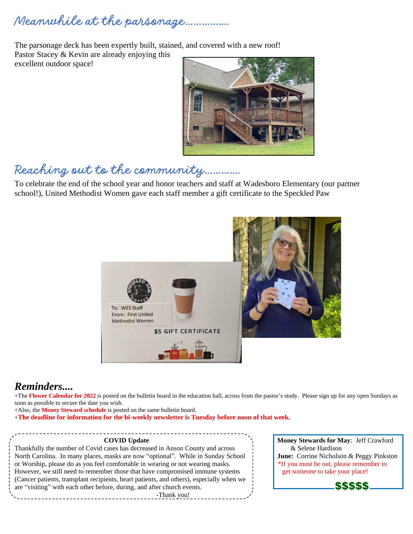# *Meanwhile at the parsonage…………….*

The parsonage deck has been expertly built, stained, and covered with a new roof! Pastor Stacey & Kevin are already enjoying this excellent outdoor space!



# *Reaching out to the community………….*

To celebrate the end of the school year and honor teachers and staff at Wadesboro Elementary (our partner school!), United Methodist Women gave each staff member a gift certificate to the Speckled Paw



### *Reminders....*

+The **Flower Calendar for 2022** is posted on the bulletin board in the education hall, across from the pastor's study. Please sign up for any open Sundays as soon as possible to secure the date you wish.

+Also, the **Money Steward schedule** is posted on the same bulletin board.

+**The deadline for information for the bi-weekly newsletter is Tuesday before noon of that week.** 

Thankfully the number of Covid cases has decreased in Anson County and across  $\&$  Selene Hardison North Carolina. In many places, masks are now "optional". While in Sunday School **June:** Corrine Nicholson & Peggy Pinkston or Worship, please do as you feel comfortable in wearing or not wearing masks.  $\cdot$  Fig you must be out, please remember to However, we still need to remember those that have compromised immune systems  $\cdot$  get someone to take your place! (Cancer patients, transplant recipients, heart patients, and others), especially when we are "visiting" with each other before, during, and after church events. ------------------------------<sup>-</sup>Thank you!

**COVID Update** Money Stewards for May: Jeff Crawford

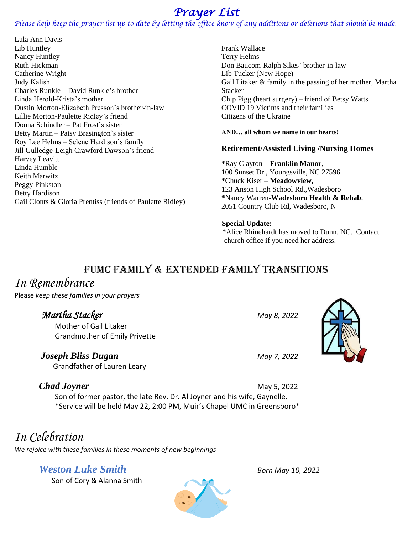## *Prayer List*

*Please help keep the prayer list up to date by letting the office know of any additions or deletions that should be made.*

Lula Ann Davis Lib Huntley Nancy Huntley Ruth Hickman Catherine Wright Judy Kalish Charles Runkle – David Runkle's brother Linda Herold-Krista's mother Dustin Morton-Elizabeth Presson's brother-in-law Lillie Morton-Paulette Ridley's friend Donna Schindler – Pat Frost's sister Betty Martin – Patsy Brasington's sister Roy Lee Helms – Selene Hardison's family Jill Gulledge-Leigh Crawford Dawson's friend Harvey Leavitt Linda Humble Keith Marwitz Peggy Pinkston Betty Hardison Gail Clonts & Gloria Prentiss (friends of Paulette Ridley)

Frank Wallace Terry Helms Don Baucom-Ralph Sikes' brother-in-law Lib Tucker (New Hope) Gail Litaker & family in the passing of her mother, Martha **Stacker** Chip Pigg (heart surgery) – friend of Betsy Watts COVID 19 Victims and their families Citizens of the Ukraine

**AND… all whom we name in our hearts!** 

#### **Retirement/Assisted Living /Nursing Homes**

**\***Ray Clayton – **Franklin Manor**, 100 Sunset Dr., Youngsville, NC 27596 **\***Chuck Kiser – **Meadowview,** 123 Anson High School Rd.,Wadesboro **\***Nancy Warren**-Wadesboro Health & Rehab**, 2051 Country Club Rd, Wadesboro, N

#### **Special Update:**

\*Alice Rhinehardt has moved to Dunn, NC. Contact church office if you need her address.

### FUMC FAMILY & EXTENDED FAMILY TRANSITIONS

### *In Remembrance*

Please *keep these families in your prayers*

### *Martha Stacker May 8, 2022*

 Mother of Gail Litaker Grandmother of Emily Privette

### *Joseph Bliss Dugan May 7, 2022*

Grandfather of Lauren Leary

*Chad Joyner* May 5, 2022 Son of former pastor, the late Rev. Dr. Al Joyner and his wife, Gaynelle. \*Service will be held May 22, 2:00 PM, Muir's Chapel UMC in Greensboro\*

## *In Celebration*

*We rejoice with these families in these moments of new beginnings*

### *Weston Luke Smith Born May 10, 2022*

Son of Cory & Alanna Smith